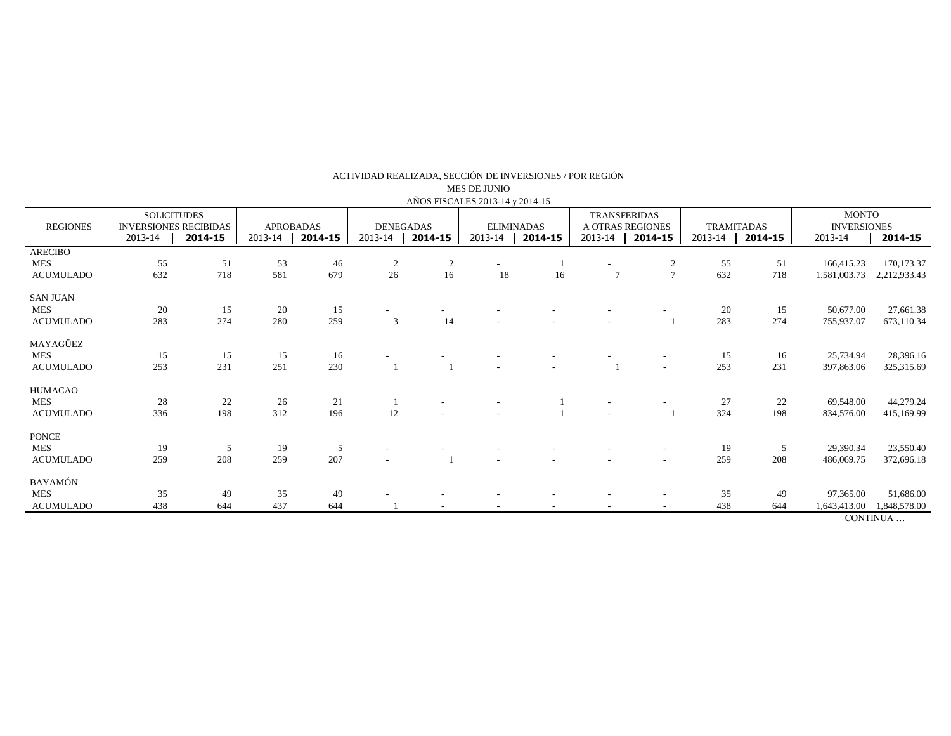| AÑOS FISCALES 2013-14 y 2014-15                   |                                                                          |           |                                        |           |                                        |         |                                         |    |                                                               |                     |                                         |                        |                                                          |                                       |
|---------------------------------------------------|--------------------------------------------------------------------------|-----------|----------------------------------------|-----------|----------------------------------------|---------|-----------------------------------------|----|---------------------------------------------------------------|---------------------|-----------------------------------------|------------------------|----------------------------------------------------------|---------------------------------------|
| <b>REGIONES</b>                                   | <b>SOLICITUDES</b><br><b>INVERSIONES RECIBIDAS</b><br>2013-14<br>2014-15 |           | <b>APROBADAS</b><br>2013-14<br>2014-15 |           | <b>DENEGADAS</b><br>2013-14<br>2014-15 |         | <b>ELIMINADAS</b><br>2013-14<br>2014-15 |    | <b>TRANSFERIDAS</b><br>A OTRAS REGIONES<br>2013-14<br>2014-15 |                     | <b>TRAMITADAS</b><br>2013-14<br>2014-15 |                        | <b>MONTO</b><br><b>INVERSIONES</b><br>2014-15<br>2013-14 |                                       |
| <b>ARECIBO</b><br><b>MES</b><br><b>ACUMULADO</b>  | 55<br>632                                                                | 51<br>718 | 53<br>581                              | 46<br>679 | $\overline{c}$<br>26                   | 2<br>16 | 18                                      | 16 | $\overline{7}$                                                | 2<br>$\overline{7}$ | 55<br>632                               | 51<br>718              | 166,415.23<br>1,581,003.73                               | 170,173.37<br>2,212,933.43            |
| <b>SAN JUAN</b><br><b>MES</b><br><b>ACUMULADO</b> | 20<br>283                                                                | 15<br>274 | 20<br>280                              | 15<br>259 | 3                                      | 14      |                                         |    |                                                               |                     | 20<br>283                               | 15<br>274              | 50,677.00<br>755,937.07                                  | 27,661.38<br>673,110.34               |
| MAYAGÜEZ<br><b>MES</b><br><b>ACUMULADO</b>        | 15<br>253                                                                | 15<br>231 | 15<br>251                              | 16<br>230 |                                        |         |                                         |    |                                                               |                     | 15<br>253                               | 16<br>231              | 25,734.94<br>397,863.06                                  | 28,396.16<br>325,315.69               |
| HUMACAO<br><b>MES</b><br><b>ACUMULADO</b>         | 28<br>336                                                                | 22<br>198 | 26<br>312                              | 21<br>196 | $12\,$                                 |         |                                         |    |                                                               |                     | 27<br>324                               | 22<br>198              | 69,548.00<br>834,576.00                                  | 44,279.24<br>415,169.99               |
| <b>PONCE</b><br><b>MES</b><br><b>ACUMULADO</b>    | 19<br>259                                                                | 5<br>208  | 19<br>259                              | 5<br>207  |                                        |         |                                         |    |                                                               |                     | 19<br>259                               | $5\overline{)}$<br>208 | 29,390.34<br>486,069.75                                  | 23,550.40<br>372,696.18               |
| <b>BAYAMÓN</b><br><b>MES</b><br><b>ACUMULADO</b>  | 35<br>438                                                                | 49<br>644 | 35<br>437                              | 49<br>644 |                                        |         |                                         |    |                                                               |                     | 35<br>438                               | 49<br>644              | 97,365.00<br>1,643,413.00                                | 51,686.00<br>1,848,578.00<br>CONTINUA |

ACTIVIDAD REALIZADA, SECCIÓN DE INVERSIONES / POR REGIÓN

MES DE JUNIO